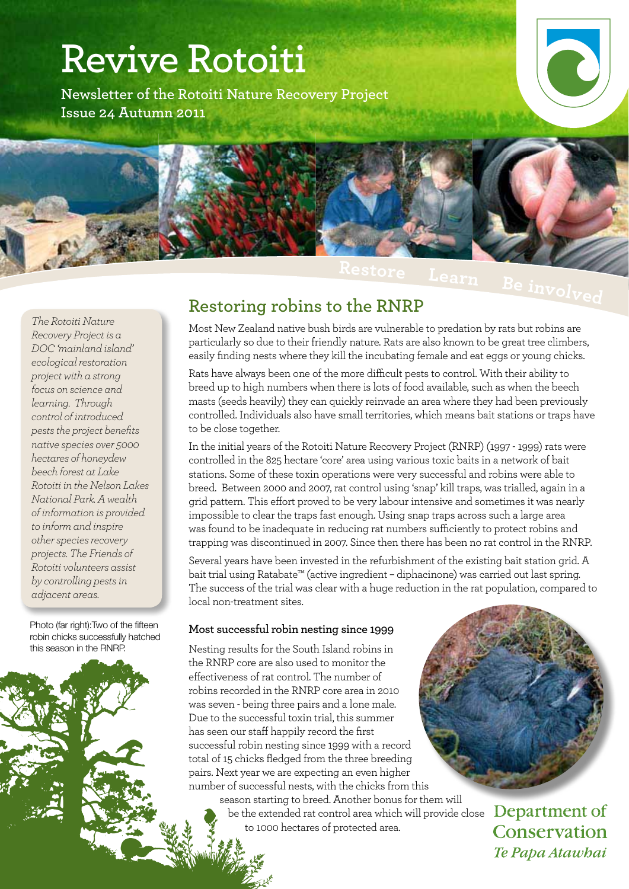# **Revive Rotoiti**

**Newsletter of the Rotoiti Nature Recovery Project Issue 24 Autumn 2011**



**Restore** Learn Beinvolved

*The Rotoiti Nature Recovery Project is a DOC 'mainland island' ecological restoration project with a strong focus on science and learning. Through control of introduced pests the project benefits native species over 5000 hectares of honeydew beech forest at Lake Rotoiti in the Nelson Lakes National Park. A wealth of information is provided to inform and inspire other species recovery projects. The Friends of Rotoiti volunteers assist by controlling pests in adjacent areas.*

Photo (far right): Two of the fifteen robin chicks successfully hatched this season in the RNRP.

#### **Restoring robins to the RNRP**

Most New Zealand native bush birds are vulnerable to predation by rats but robins are particularly so due to their friendly nature. Rats are also known to be great tree climbers, easily finding nests where they kill the incubating female and eat eggs or young chicks.

Rats have always been one of the more difficult pests to control. With their ability to breed up to high numbers when there is lots of food available, such as when the beech masts (seeds heavily) they can quickly reinvade an area where they had been previously controlled. Individuals also have small territories, which means bait stations or traps have to be close together.

In the initial years of the Rotoiti Nature Recovery Project (RNRP) (1997 - 1999) rats were controlled in the 825 hectare 'core' area using various toxic baits in a network of bait stations. Some of these toxin operations were very successful and robins were able to breed. Between 2000 and 2007, rat control using 'snap' kill traps, was trialled, again in a grid pattern. This effort proved to be very labour intensive and sometimes it was nearly impossible to clear the traps fast enough. Using snap traps across such a large area was found to be inadequate in reducing rat numbers sufficiently to protect robins and trapping was discontinued in 2007. Since then there has been no rat control in the RNRP.

Several years have been invested in the refurbishment of the existing bait station grid. A bait trial using Ratabate™ (active ingredient – diphacinone) was carried out last spring. The success of the trial was clear with a huge reduction in the rat population, compared to local non-treatment sites.

#### **Most successful robin nesting since 1999**

Nesting results for the South Island robins in the RNRP core are also used to monitor the effectiveness of rat control. The number of robins recorded in the RNRP core area in 2010 was seven - being three pairs and a lone male. Due to the successful toxin trial, this summer has seen our staff happily record the first successful robin nesting since 1999 with a record total of 15 chicks fledged from the three breeding pairs. Next year we are expecting an even higher number of successful nests, with the chicks from this his

season starting to breed. Another bonus for them will be the extended rat control area which will provide close to 1000 hectares of protected area.

Department of Conservation

Te Papa Atawhai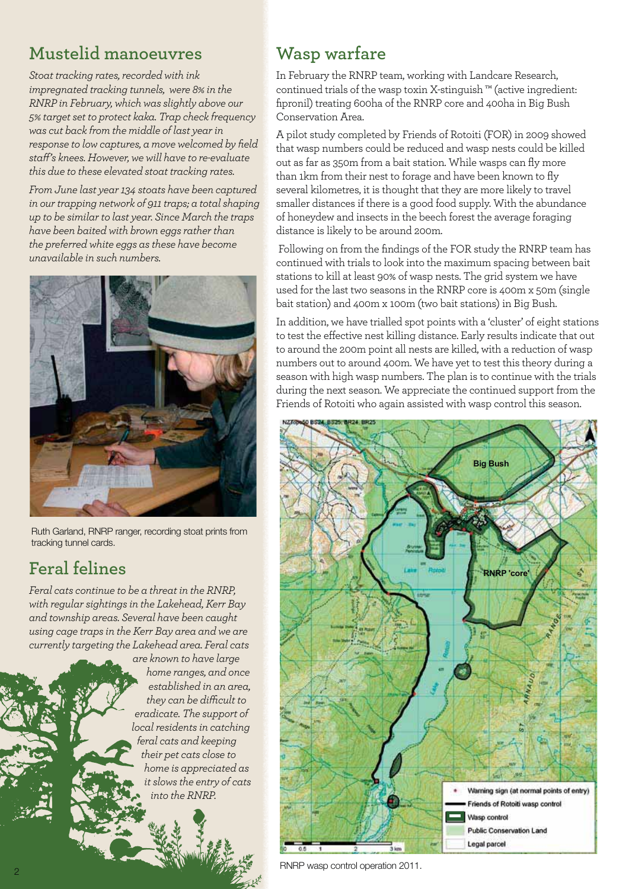### **Mustelid manoeuvres**

*Stoat tracking rates, recorded with ink impregnated tracking tunnels, were 8% in the RNRP in February, which was slightly above our 5% target set to protect kaka. Trap check frequency was cut back from the middle of last year in response to low captures, a move welcomed by field staff's knees. However, we will have to re-evaluate this due to these elevated stoat tracking rates.*

*From June last year 134 stoats have been captured in our trapping network of 911 traps; a total shaping up to be similar to last year. Since March the traps have been baited with brown eggs rather than the preferred white eggs as these have become unavailable in such numbers.*



Ruth Garland, RNRP ranger, recording stoat prints from tracking tunnel cards.

### **Feral felines**

*Feral cats continue to be a threat in the RNRP, with regular sightings in the Lakehead, Kerr Bay and township areas. Several have been caught using cage traps in the Kerr Bay area and we are currently targeting the Lakehead area. Feral cats* 

*are known to have large home ranges, and once established in an area, they can be difficult to eradicate. The support of local residents in catching feral cats and keeping their pet cats close to home is appreciated as it slows the entry of cats into the RNRP.*

## **Wasp warfare**

In February the RNRP team, working with Landcare Research, continued trials of the wasp toxin X-stinguish ™ (active ingredient: fipronil) treating 600ha of the RNRP core and 400ha in Big Bush Conservation Area.

A pilot study completed by Friends of Rotoiti (FOR) in 2009 showed that wasp numbers could be reduced and wasp nests could be killed out as far as 350m from a bait station. While wasps can fly more than 1km from their nest to forage and have been known to fly several kilometres, it is thought that they are more likely to travel smaller distances if there is a good food supply. With the abundance of honeydew and insects in the beech forest the average foraging distance is likely to be around 200m.

 Following on from the findings of the FOR study the RNRP team has continued with trials to look into the maximum spacing between bait stations to kill at least 90% of wasp nests. The grid system we have used for the last two seasons in the RNRP core is 400m x 50m (single bait station) and 400m x 100m (two bait stations) in Big Bush.

In addition, we have trialled spot points with a 'cluster' of eight stations to test the effective nest killing distance. Early results indicate that out to around the 200m point all nests are killed, with a reduction of wasp numbers out to around 400m. We have yet to test this theory during a season with high wasp numbers. The plan is to continue with the trials during the next season. We appreciate the continued support from the Friends of Rotoiti who again assisted with wasp control this season.



RNRP wasp control operation 2011.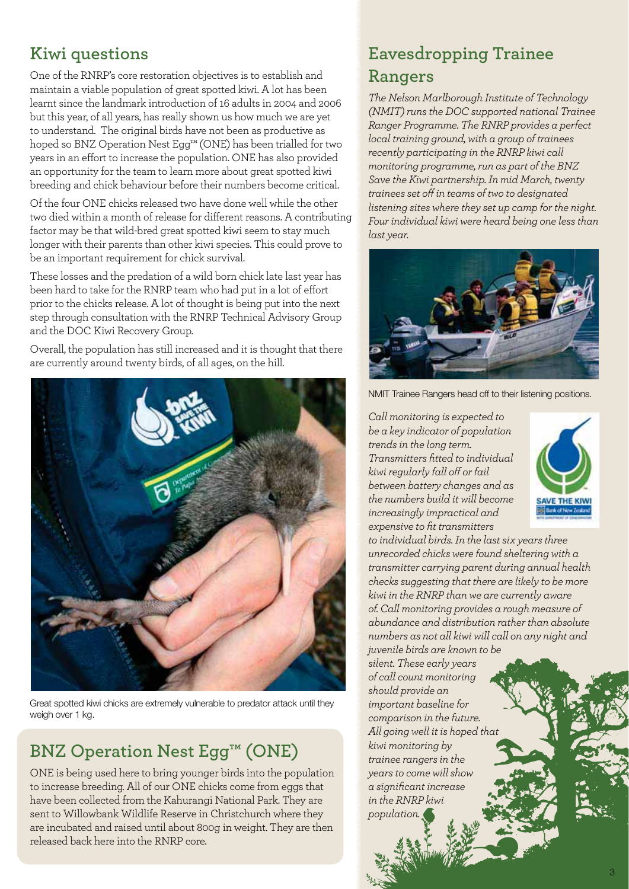### **Kiwi questions**

One of the RNRP's core restoration objectives is to establish and maintain a viable population of great spotted kiwi. A lot has been learnt since the landmark introduction of 16 adults in 2004 and 2006 but this year, of all years, has really shown us how much we are yet to understand. The original birds have not been as productive as hoped so BNZ Operation Nest Egg™ (ONE) has been trialled for two years in an effort to increase the population. ONE has also provided an opportunity for the team to learn more about great spotted kiwi breeding and chick behaviour before their numbers become critical.

Of the four ONE chicks released two have done well while the other two died within a month of release for different reasons. A contributing factor may be that wild-bred great spotted kiwi seem to stay much longer with their parents than other kiwi species. This could prove to be an important requirement for chick survival.

These losses and the predation of a wild born chick late last year has been hard to take for the RNRP team who had put in a lot of effort prior to the chicks release. A lot of thought is being put into the next step through consultation with the RNRP Technical Advisory Group and the DOC Kiwi Recovery Group.

Overall, the population has still increased and it is thought that there are currently around twenty birds, of all ages, on the hill.



Great spotted kiwi chicks are extremely vulnerable to predator attack until they weigh over 1 kg.

### **BNZ Operation Nest Egg™ (ONE)**

ONE is being used here to bring younger birds into the population to increase breeding. All of our ONE chicks come from eggs that have been collected from the Kahurangi National Park. They are sent to Willowbank Wildlife Reserve in Christchurch where they are incubated and raised until about 800g in weight. They are then released back here into the RNRP core.

### **Eavesdropping Trainee Rangers**

*The Nelson Marlborough Institute of Technology (NMIT) runs the DOC supported national Trainee Ranger Programme. The RNRP provides a perfect local training ground, with a group of trainees recently participating in the RNRP kiwi call monitoring programme, run as part of the BNZ Save the Kiwi partnership. In mid March, twenty trainees set off in teams of two to designated listening sites where they set up camp for the night. Four individual kiwi were heard being one less than last year.* 



NMIT Trainee Rangers head off to their listening positions.

*Call monitoring is expected to be a key indicator of population trends in the long term. Transmitters fitted to individual kiwi regularly fall off or fail between battery changes and as the numbers build it will become increasingly impractical and expensive to fit transmitters* 



*to individual birds. In the last six years three unrecorded chicks were found sheltering with a transmitter carrying parent during annual health checks suggesting that there are likely to be more kiwi in the RNRP than we are currently aware of. Call monitoring provides a rough measure of abundance and distribution rather than absolute numbers as not all kiwi will call on any night and juvenile birds are known to be* 

*silent. These early years of call count monitoring should provide an important baseline for comparison in the future. All going well it is hoped that kiwi monitoring by trainee rangers in the years to come will show a significant increase in the RNRP kiwi population.*